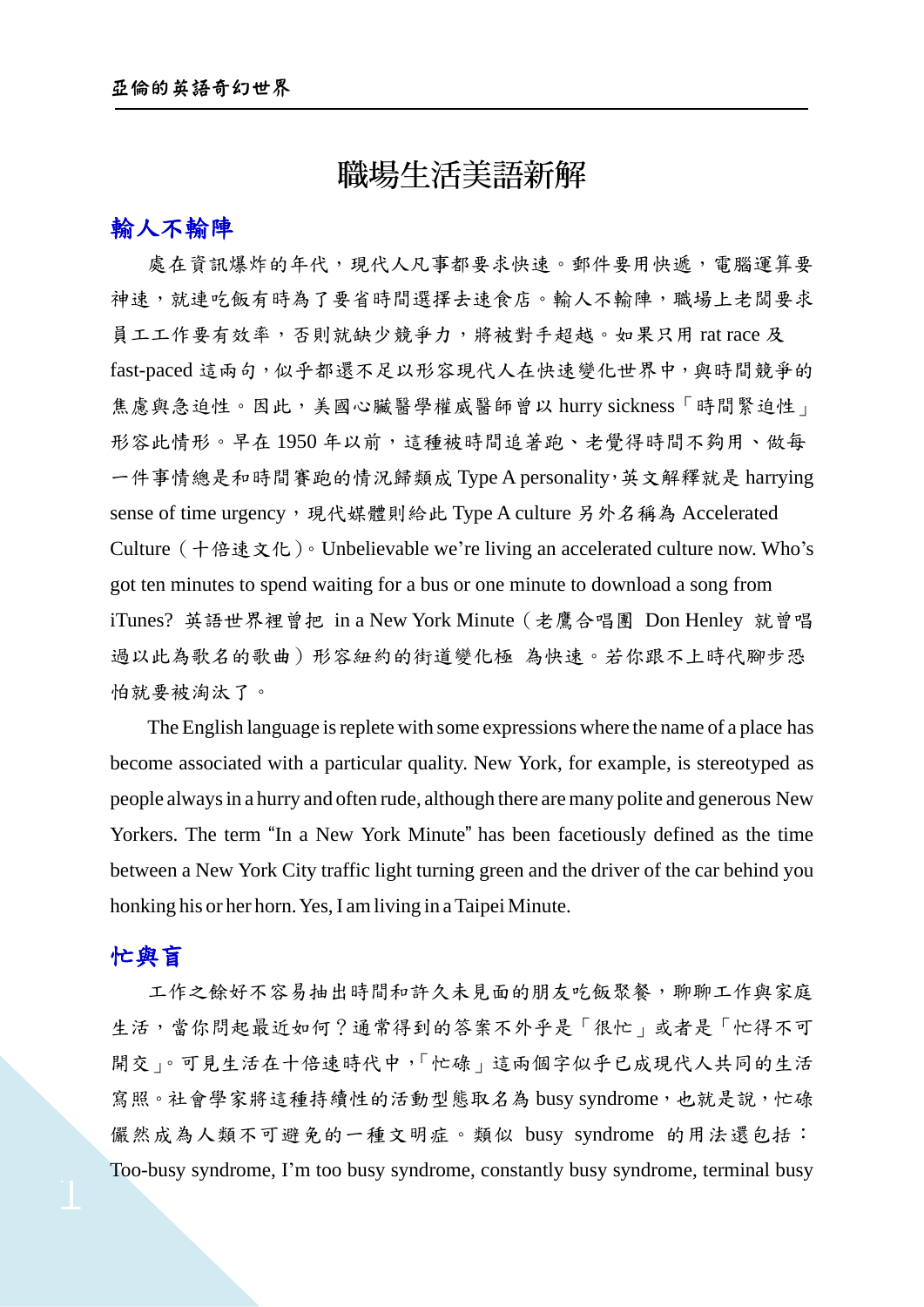# 職場生活美語新解

### 輸人不輸陣

處在資訊爆炸的年代,現代人凡事都要求快速。郵件要用快遞,電腦運算要 神速,就連吃飯有時為了要省時間選擇去速食店。輸人不輸陣,職場上老闆要求 員工工作要有效率,否則就缺少競爭力,將被對手超越。如果只用 rat race 及 fast-paced 這兩句,似乎都還不足以形容現代人在快速變化世界中,與時間競爭的 焦慮與急迫性。因此,美國心臟醫學權威醫師曾以 hurry sickness「時間緊迫性」 形容此情形。早在1950年以前,這種被時間追著跑、老覺得時間不夠用、做每 一件事情總是和時間賽跑的情況歸類成 Type A personality,英文解釋就是 harrying sense of time urgency,現代媒體則給此 Type A culture 另外名稱為 Accelerated Culture(十倍速文化)。Unbelievable we're living an accelerated culture now. Who's got ten minutes to spend waiting for a bus or one minute to download a song from iTunes? 英語世界裡曾把 in a New York Minute(老鷹合唱團 Don Henley 就曾唱 過以此為歌名的歌曲)形容紐約的街道變化極 為快速。若你跟不上時代腳步恐 怕就要被淘汰了。

The English language is replete with some expressions where the name of a place has become associated with a particular quality. New York, for example, is stereotyped as people alwaysin a hurry and often rude, although there aremany polite and generous New Yorkers. The term "In a New York Minute" has been facetiously defined as the time between a New York City traffic light turning green and the driver of the car behind you honking his or her horn. Yes, I am living in a Taipei Minute.

#### 忙與盲

工作之餘好不容易抽出時間和許久未見面的朋友吃飯聚餐,聊聊工作與家庭 生活,當你問起最近如何?通常得到的答案不外乎是「很忙」或者是「忙得不可 開交」。可見生活在十倍速時代中,「忙碌」這兩個字似乎已成現代人共同的生活 寫照。社會學家將這種持續性的活動型態取名為 busy syndrome, 也就是說, 忙碌 儼然成為人類不可避免的一種文明症。類似 busy syndrome 的用法還包括: Too-busy syndrome, I'm too busy syndrome, constantly busy syndrome, terminal busy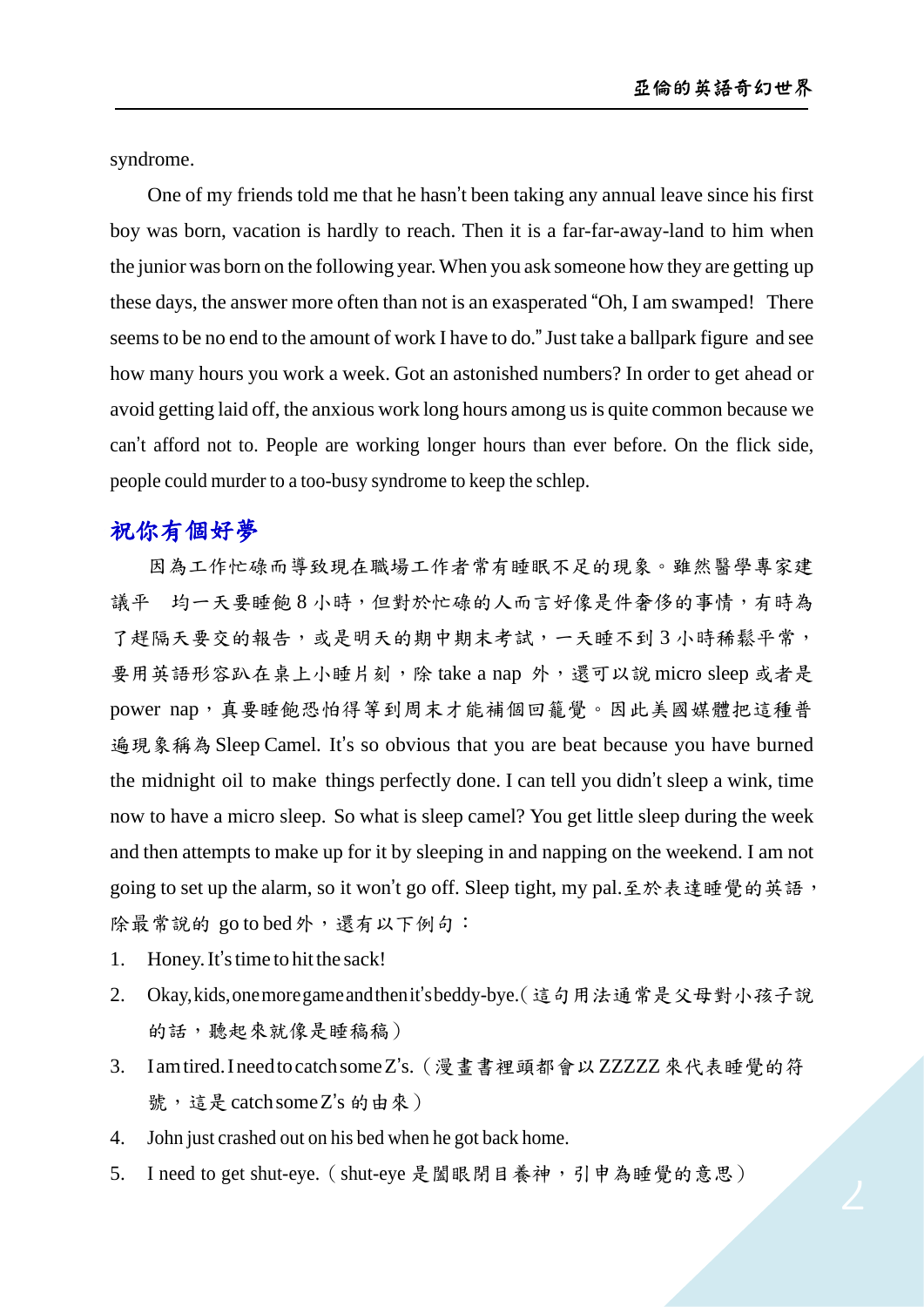syndrome.

One of my friends told me that he hasn't been taking any annual leave since his first boy was born, vacation is hardly to reach. Then it is a far-far-away-land to him when the junior was born on the following year.When you ask someone how they are getting up these days, the answer more often than not is an exasperated "Oh, I am swamped! There seemsto be no end to the amount of work I have to do."Just take a ballpark figure and see how many hours you work a week. Got an astonished numbers? In order to get ahead or avoid getting laid off, the anxious work long hours among usis quite common because we can't afford not to. People are working longer hours than ever before. On the flick side, people could murder to a too-busy syndrome to keep the schlep.

## 祝你有個好夢

因為工作忙碌而導致現在職場工作者常有睡眠不足的現象。雖然醫學專家建 議平 均一天要睡飽8小時,但對於忙碌的人而言好像是件奢侈的事情,有時為 了趕隔天要交的報告,或是明天的期中期末考試,一天睡不到3小時稀鬆平常, 要用英語形容趴在桌上小睡片刻,除 take a nap 外,還可以說 micro sleep 或者是 power nap,真要睡飽恐怕得等到周末才能補個回籠覺。因此美國媒體把這種普 遍現象稱為Sleep Camel. It's so obvious that you are beat because you have burned the midnight oil to make things perfectly done. I can tell you didn't sleep a wink, time now to have a micro sleep. So what is sleep camel? You get little sleep during the week and then attempts to make up for it by sleeping in and napping on the weekend. I am not going to set up the alarm, so it won't go off. Sleep tight, my pal.至於表達睡覺的英語, 除最常說的 go to bed外,還有以下例句:

- 1. Honey. It's time to hit the sack!
- 2. Okay,kids,onemoregameandthenit'sbeddy-bye.(這句用法通常是父母對小孩子說 的話,聽起來就像是睡稿稿)
- 3. Iamtired.IneedtocatchsomeZ's.(漫畫書裡頭都會以ZZZZZ來代表睡覺的符 號,這是catchsomeZ's 的由來)
- 4. John just crashed out on his bed when he got back home.
- 5. I need to get shut-eye.(shut-eye 是闔眼閉目養神,引申為睡覺的意思)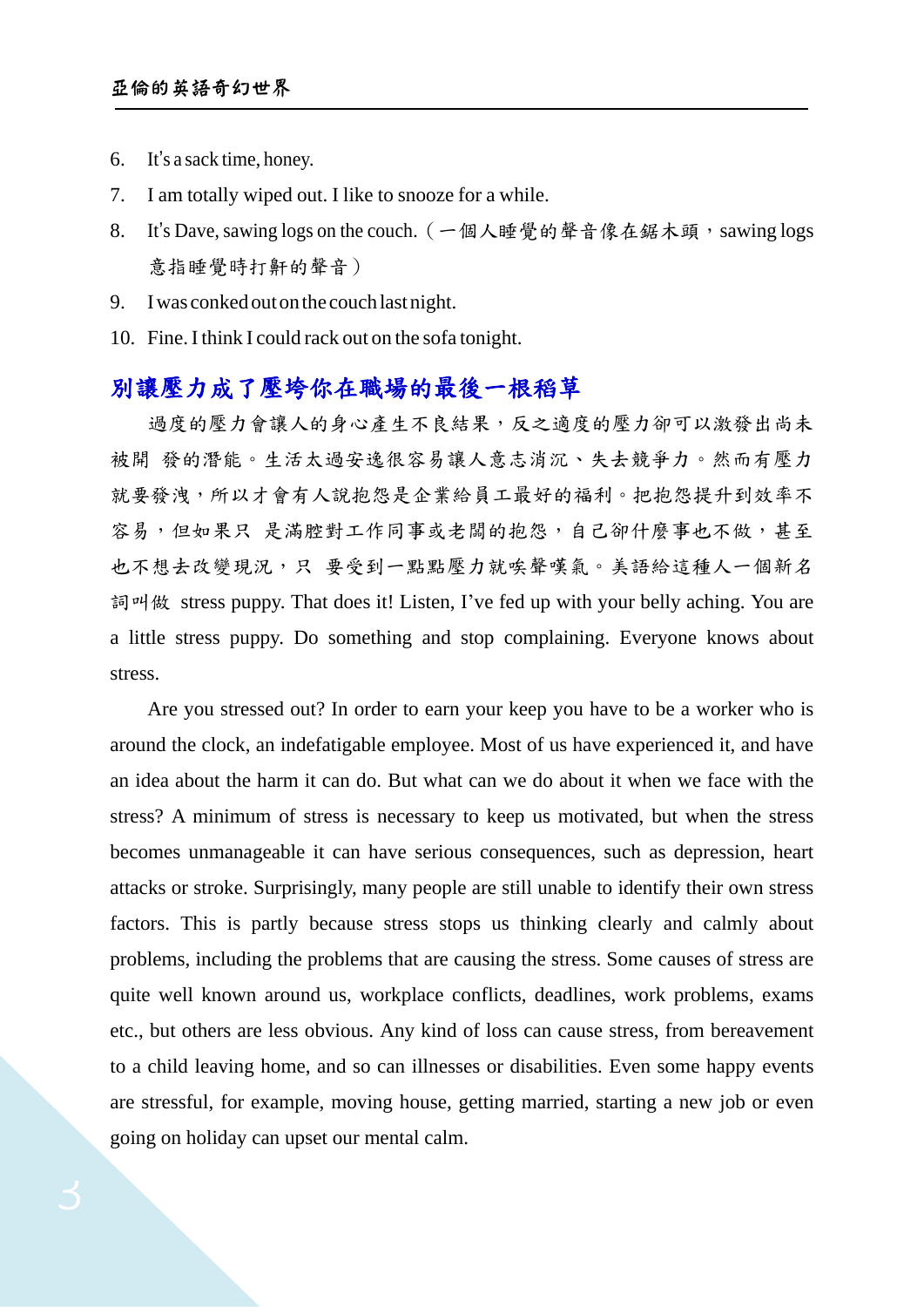- 6. It's a sack time, honey.
- 7. I am totally wiped out. I like to snooze for a while.
- 8. It's Dave, sawing logs on the couch. (一個人睡覺的聲音像在鋸木頭, sawing logs 意指睡覺時打鼾的聲音)
- 9. Iwas conkedoutonthe couchlastnight.
- 10. Fine. I think I could rack out on the sofa tonight.

### 別讓壓力成了壓垮你在職場的最後一根稻草

過度的壓力會讓人的身心產生不良結果,反之適度的壓力卻可以激發出尚未 被開 發的潛能。生活太過安逸很容易讓人意志消沉、失去競爭力。然而有壓力 就要發洩,所以才會有人說抱怨是企業給員工最好的福利。把抱怨提升到效率不 容易,但如果只 是滿腔對工作同事或老闆的抱怨,自己卻什麼事也不做,甚至 也不想去改變現況,只 要受到一點點壓力就唉聲嘆氣。美語給這種人一個新名 詞叫做 stress puppy. That does it! Listen, I've fed up with your belly aching. You are a little stress puppy. Do something and stop complaining. Everyone knows about stress.

Are you stressed out? In order to earn your keep you have to be a worker who is around the clock, an indefatigable employee. Most of us have experienced it, and have an idea about the harm it can do. But what can we do about it when we face with the stress? A minimum of stress is necessary to keep us motivated, but when the stress becomes unmanageable it can have serious consequences, such as depression, heart attacks or stroke. Surprisingly, many people are still unable to identify their own stress factors. This is partly because stress stops us thinking clearly and calmly about problems, including the problems that are causing the stress. Some causes of stress are quite well known around us, workplace conflicts, deadlines, work problems, exams etc., but others are less obvious. Any kind of loss can cause stress, from bereavement to a child leaving home, and so can illnesses or disabilities. Even some happy events are stressful, for example, moving house, getting married, starting a new job or even going on holiday can upset our mental calm.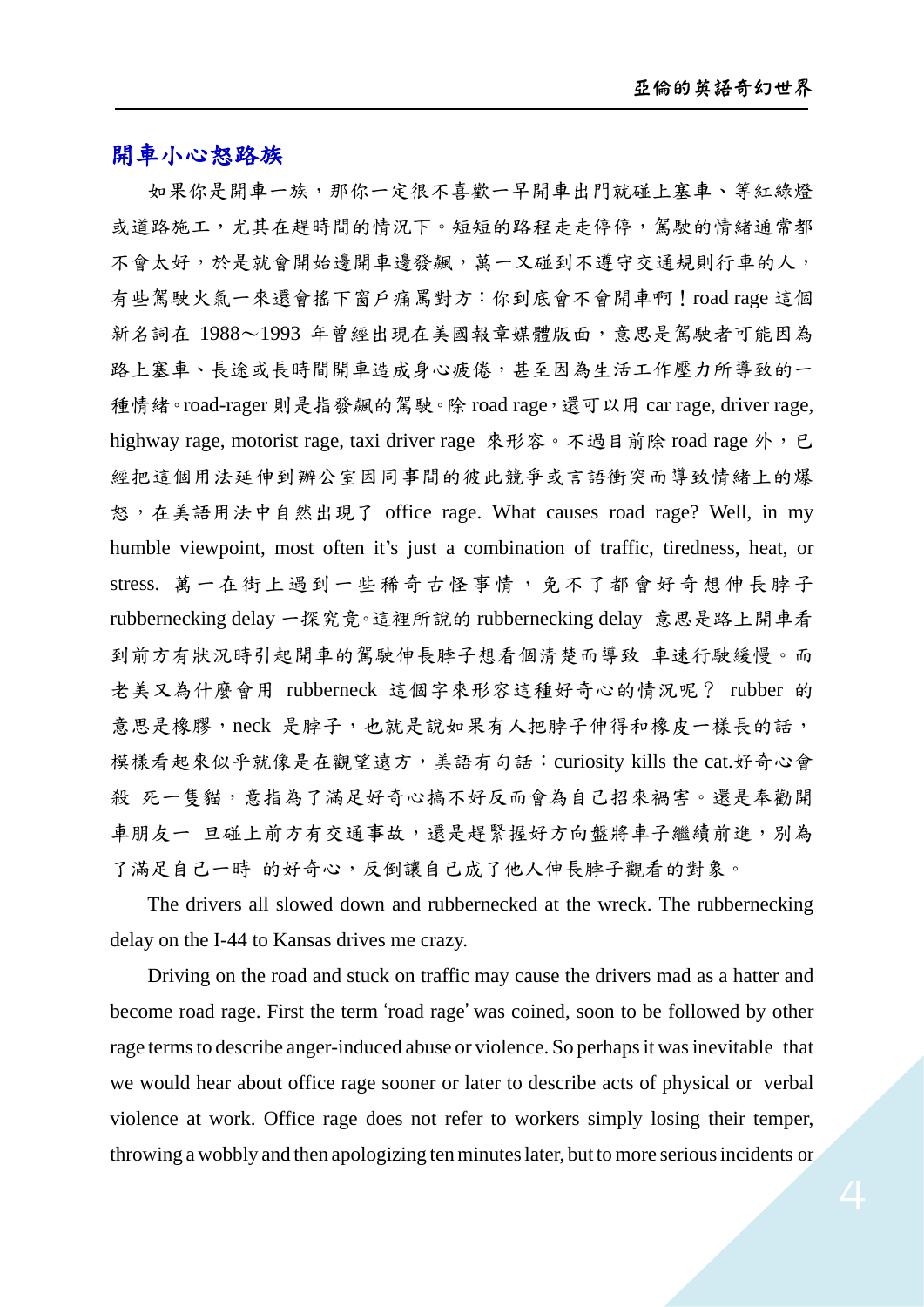#### 開車小心怒路族

如果你是開車一族,那你一定很不喜歡一早開車出門就碰上塞車、等紅綠燈 或道路施工,尤其在趕時間的情況下。短短的路程走走停停,駕駛的情緒通常都 不會太好,於是就會開始邊開車邊發飆,萬一又碰到不遵守交通規則行車的人, 有些駕駛火氣一來還會搖下窗戶痛罵對方:你到底會不會開車啊!road rage 這個 新名詞在 1988~1993 年曾經出現在美國報章媒體版面,意思是駕駛者可能因為 路上塞車、長途或長時間開車造成身心疲倦,甚至因為生活工作壓力所導致的一 種情緒。road-rager 則是指發飆的駕駛。除 road rage, 還可以用 car rage, driver rage, highway rage, motorist rage, taxi driver rage 來形容。不過目前除 road rage 外, 已 經把這個用法延伸到辦公室因同事間的彼此競爭或言語衝突而導致情緒上的爆 怒,在美語用法中自然出現了 office rage. What causes road rage? Well, in my humble viewpoint, most often it's just a combination of traffic, tiredness, heat, or stress. 萬一在街上遇到一些稀奇古怪事情,免不了都會好奇想伸長脖子 rubbernecking delay 一探究竟。這裡所說的 rubbernecking delay 意思是路上開車看 到前方有狀況時引起開車的駕駛伸長脖子想看個清楚而導致 車速行駛緩慢。而 老美又為什麼會用 rubberneck 這個字來形容這種好奇心的情況呢? rubber 的 意思是橡膠,neck 是脖子,也就是說如果有人把脖子伸得和橡皮一樣長的話, 模樣看起來似乎就像是在觀望遠方,美語有句話:curiosity kills the cat.好奇心會 殺 死一隻貓,意指為了滿足好奇心搞不好反而會為自己招來禍害。還是奉勸開 車朋友一 旦碰上前方有交通事故,還是趕緊握好方向盤將車子繼續前進,別為 了滿足自己一時 的好奇心,反倒讓自己成了他人伸長脖子觀看的對象。

The drivers all slowed down and rubbernecked at the wreck. The rubbernecking delay on the I-44 to Kansas drives me crazy.

Driving on the road and stuck on traffic may cause the drivers mad as a hatter and become road rage. First the term 'road rage' was coined, soon to be followed by other rage termsto describe anger-induced abuse or violence. So perhapsit wasinevitable that we would hear about office rage sooner or later to describe acts of physical or verbal violence at work. Office rage does not refer to workers simply losing their temper, throwing a wobbly and then apologizing tenminuteslater, but tomore seriousincidents or